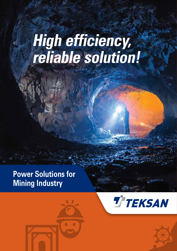# **High efficiency, reliable solution!**

## **Power Solutions for Mining Industry**





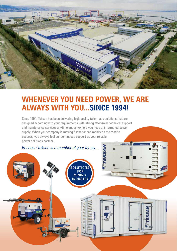

## **WHENEVER YOU NEED POWER, WE ARE ALWAYS WITH YOU...SINCE 1994!**

Since 1994, Teksan has been delivering high quality tailormade solutions that are designed accordingly to your requirements with strong after-sales technical support and maintenance services anytime and anywhere you need uninterrupted power supply. When your company is moving further ahead rapidly on the road to success, you always feel our continuous support as your reliable power solutions partner.

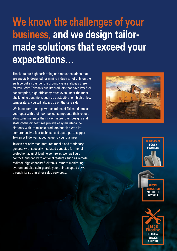## **We know the challenges of your business, and we design tailormade solutions that exceed your expectations…**

Thanks to our high performing and robust solutions that are specially designed for mining industry, not only on the surface but also under the ground we are always there for you. With Teksan's quality products that have low fuel consumption, high efficiency rates even under the most challenging conditions such as dust, vibration, high or low temperature, you will always be on the safe side.

While custom-made power solutions of Teksan decrease your opex with their low fuel consumptions, their robust structures minimize the risk of failure, their designs and state-of-the-art features provide easy maintenance. Not only with its reliable products but also with its comprehensive, fast technical and spare parts support, Teksan will deliver added value to your business.

Teksan not only manufactures mobile and stationary gensets with specially insulated canopies for the full protection against loud noise, fire as well as liquid contact, and can with optional features such as remote radiator, high capacity fuel tanks, remote monitoring system but also safe-guards your uninterrupted power through its strong after-sales services...







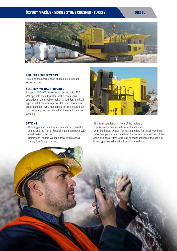#### **ÖZYURT MAKİNE / MOBILE STONE CRUSHER / TURKEY DIESEL**



#### **PROJECT REQUIREMENTS**

Providing the energy need of specially produced stone crusher.

#### **SOLUTION WE HAVE PROVIDED**

A special 330 kVA genset was coupled with 450 kVA special type alternator for the continuous operation of the mobile crusher, in addition, the field type air intake filters to prevent dusty environment effects and leaf type manual shutter to prevent dust from entering the machine when the machine is not working.

#### **OPTIONS**

- Bowl-type special vibration mounts between the engine and the frame, Specially designed panel with sheet metal protection,
- Reinforced, double-wall fuel tank with a special frame, Fuel filling strainer,



- Fuel tank ventilation in front of the radiator,
- Crankcase ventilation in front of the cabinet,
- Warning buzzer system for faults and low fuel level warnings,
- Interchangeable type sand filter for the air intake section of the cabinet, Special filter for the air exhaust section of the cabinet, leave type manual blind in front of the radiator.